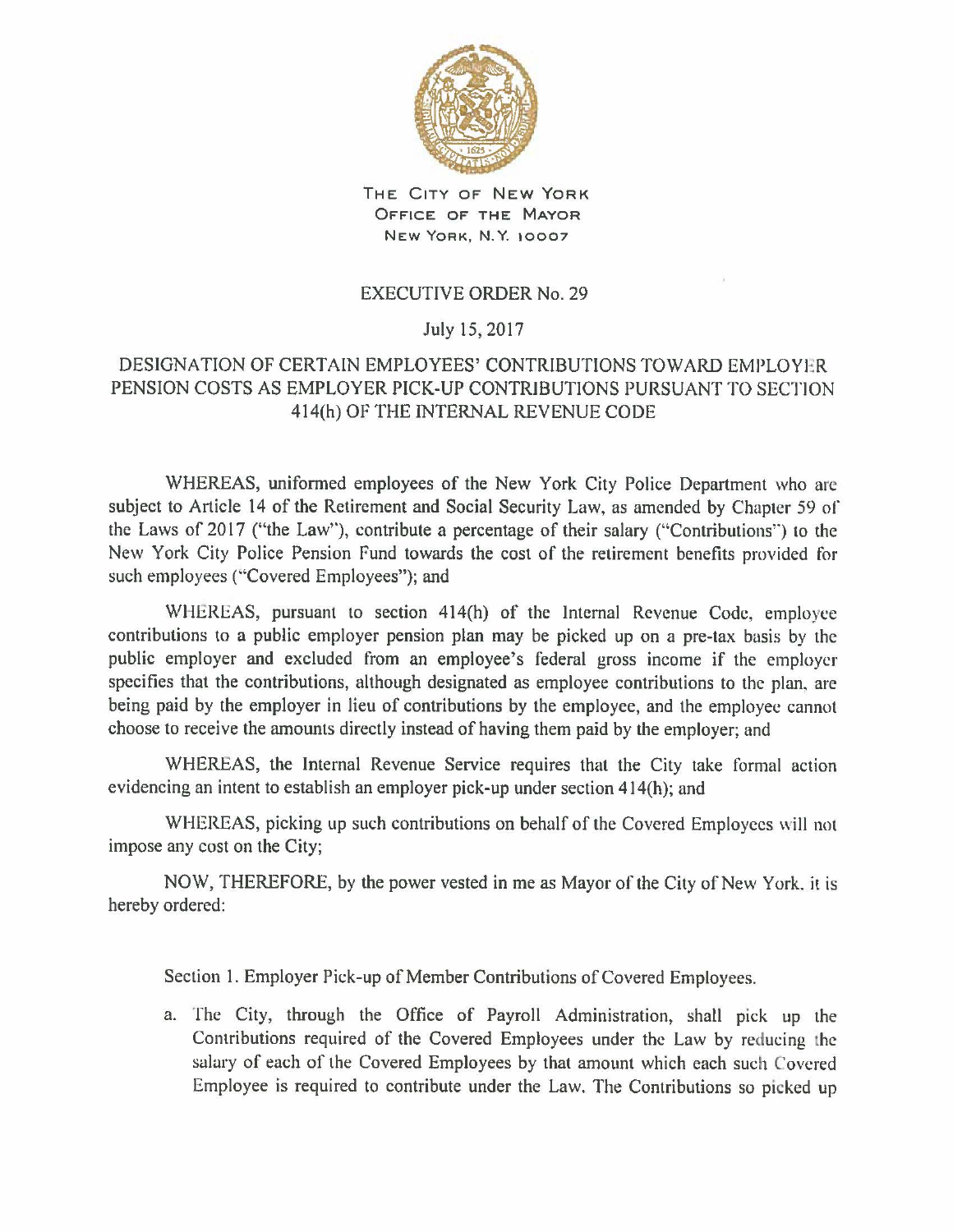

THE **CITY** OF **NEW YORK OFFICE OF THE MAYOR NEW YORK, N. Y. 10007** 

## EXECUTIVE ORDER No. 29

## July 15, 2017

## DESIGNATION OF CERTAIN EMPLOYEES' CONTRIBUTIONS TOWARD EMPLOYER PENSION COSTS AS EMPLOYER PICK-UP CONTRIBUTIONS PURSUANT TO SECTION 414(h) OF THE INTERNAL REVENUE CODE

WHEREAS, uniformed employees of the New York City Police Department who are subject to Article 14 of the Retirement and Social Security Law, as amended by Chapter 59 of the Laws of 2017 ("the Law"), contribute a percentage of their salary ("Contributions") to the New York City Police Pension Fund towards the cost of the retirement benefits provided for such employees (''Covered Employees"); and

WHEREAS, pursuant to section 414(h) of the Internal Revenue Code, employee contributions to a public employer pension plan may be picked up on a pre-tax basis by the public employer and excluded from an employee's federal gross income if the employer specifies that the contributions, although designated as employee contributions to the plan. are being paid by the employer in lieu of contributions by the employee, and the employee cannot choose to receive the amounts directly instead of having them paid by the employer; and

WHEREAS, the Internal Revenue Service requires that the City take formal action evidencing an intent to establish an employer pick-up under section 4 I 4(h); and

WHEREAS, picking up such contributions on behalf of the Covered Employees will not impose any cost on the City;

NOW, THEREFORE, by the power vested in me as Mayor of the City of New York. it is hereby ordered:

Section 1. Employer Pick-up of Member Contributions of Covered Employees.

a. The City, through the Office of Payroll Administration, shall pick up the Contributions required of the Covered Employees under the Law by reducing the salary of each of the Covered Employees by that amount which each such Covered Employee is required to contribute under the Law. The Contributions so picked up